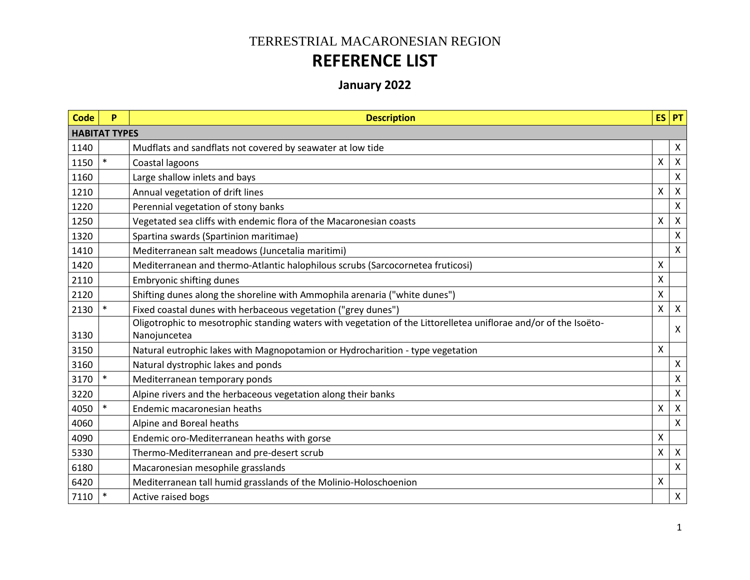## TERRESTRIAL MACARONESIAN REGION **REFERENCE LIST**

## **January 2022**

| <b>Code</b> | P                    | <b>Description</b>                                                                                                               |   | ES PT                     |  |  |  |  |
|-------------|----------------------|----------------------------------------------------------------------------------------------------------------------------------|---|---------------------------|--|--|--|--|
|             | <b>HABITAT TYPES</b> |                                                                                                                                  |   |                           |  |  |  |  |
| 1140        |                      | Mudflats and sandflats not covered by seawater at low tide                                                                       |   | X                         |  |  |  |  |
| 1150        | $\ast$               | Coastal lagoons                                                                                                                  | X | $\mathsf{X}$              |  |  |  |  |
| 1160        |                      | Large shallow inlets and bays                                                                                                    |   | $\pmb{\mathsf{X}}$        |  |  |  |  |
| 1210        |                      | Annual vegetation of drift lines                                                                                                 | X | $\boldsymbol{\mathsf{X}}$ |  |  |  |  |
| 1220        |                      | Perennial vegetation of stony banks                                                                                              |   | X                         |  |  |  |  |
| 1250        |                      | Vegetated sea cliffs with endemic flora of the Macaronesian coasts                                                               | X | $\boldsymbol{\mathsf{X}}$ |  |  |  |  |
| 1320        |                      | Spartina swards (Spartinion maritimae)                                                                                           |   | $\boldsymbol{\mathsf{X}}$ |  |  |  |  |
| 1410        |                      | Mediterranean salt meadows (Juncetalia maritimi)                                                                                 |   | $\mathsf{X}$              |  |  |  |  |
| 1420        |                      | Mediterranean and thermo-Atlantic halophilous scrubs (Sarcocornetea fruticosi)                                                   | Χ |                           |  |  |  |  |
| 2110        |                      | Embryonic shifting dunes                                                                                                         | X |                           |  |  |  |  |
| 2120        |                      | Shifting dunes along the shoreline with Ammophila arenaria ("white dunes")                                                       | X |                           |  |  |  |  |
| 2130        |                      | Fixed coastal dunes with herbaceous vegetation ("grey dunes")                                                                    | X | $\mathsf{X}$              |  |  |  |  |
| 3130        |                      | Oligotrophic to mesotrophic standing waters with vegetation of the Littorelletea uniflorae and/or of the Isoëto-<br>Nanojuncetea |   | X                         |  |  |  |  |
| 3150        |                      | Natural eutrophic lakes with Magnopotamion or Hydrocharition - type vegetation                                                   | Χ |                           |  |  |  |  |
| 3160        |                      | Natural dystrophic lakes and ponds                                                                                               |   | X                         |  |  |  |  |
| 3170        | $\ast$               | Mediterranean temporary ponds                                                                                                    |   | $\mathsf X$               |  |  |  |  |
| 3220        |                      | Alpine rivers and the herbaceous vegetation along their banks                                                                    |   | $\boldsymbol{\mathsf{X}}$ |  |  |  |  |
| 4050        | $\ast$               | Endemic macaronesian heaths                                                                                                      | Χ | $\pmb{\times}$            |  |  |  |  |
| 4060        |                      | Alpine and Boreal heaths                                                                                                         |   | $\mathsf{X}$              |  |  |  |  |
| 4090        |                      | Endemic oro-Mediterranean heaths with gorse                                                                                      | X |                           |  |  |  |  |
| 5330        |                      | Thermo-Mediterranean and pre-desert scrub                                                                                        | X | $\mathsf{X}$              |  |  |  |  |
| 6180        |                      | Macaronesian mesophile grasslands                                                                                                |   | $\mathsf{X}$              |  |  |  |  |
| 6420        |                      | Mediterranean tall humid grasslands of the Molinio-Holoschoenion                                                                 | X |                           |  |  |  |  |
| 7110        | $\ast$               | Active raised bogs                                                                                                               |   | $\mathsf{X}$              |  |  |  |  |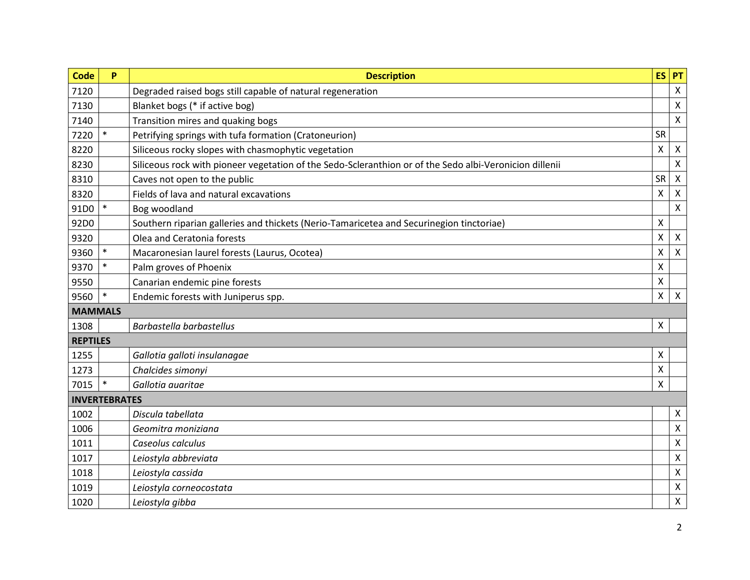| <b>Code</b>     | P                    | <b>Description</b>                                                                                      | <b>ES</b>          | PT                 |
|-----------------|----------------------|---------------------------------------------------------------------------------------------------------|--------------------|--------------------|
| 7120            |                      | Degraded raised bogs still capable of natural regeneration                                              |                    | X                  |
| 7130            |                      | Blanket bogs (* if active bog)                                                                          |                    | X                  |
| 7140            |                      | Transition mires and quaking bogs                                                                       |                    | $\mathsf{X}$       |
| 7220            |                      | Petrifying springs with tufa formation (Cratoneurion)                                                   | <b>SR</b>          |                    |
| 8220            |                      | Siliceous rocky slopes with chasmophytic vegetation                                                     | X                  | $\mathsf{X}$       |
| 8230            |                      | Siliceous rock with pioneer vegetation of the Sedo-Scleranthion or of the Sedo albi-Veronicion dillenii |                    | X                  |
| 8310            |                      | Caves not open to the public                                                                            | <b>SR</b>          | $\pmb{\mathsf{X}}$ |
| 8320            |                      | Fields of lava and natural excavations                                                                  | Χ                  | X                  |
| 91D0            | $\ast$               | Bog woodland                                                                                            |                    | $\mathsf{X}$       |
| 92D0            |                      | Southern riparian galleries and thickets (Nerio-Tamaricetea and Securinegion tinctoriae)                | $\pmb{\mathsf{X}}$ |                    |
| 9320            |                      | Olea and Ceratonia forests                                                                              | X                  | $\mathsf{X}$       |
| 9360            | $\ast$               | Macaronesian laurel forests (Laurus, Ocotea)                                                            | X                  | $\pmb{\times}$     |
| 9370            | $\ast$               | Palm groves of Phoenix                                                                                  | X                  |                    |
| 9550            |                      | Canarian endemic pine forests                                                                           | X                  |                    |
| 9560            | $\ast$               | Endemic forests with Juniperus spp.                                                                     | X                  | $\mathsf{X}$       |
| <b>MAMMALS</b>  |                      |                                                                                                         |                    |                    |
| 1308            |                      | Barbastella barbastellus                                                                                | $\mathsf{x}$       |                    |
| <b>REPTILES</b> |                      |                                                                                                         |                    |                    |
| 1255            |                      | Gallotia galloti insulanagae                                                                            | X                  |                    |
| 1273            |                      | Chalcides simonyi                                                                                       | X                  |                    |
| 7015            | $\ast$               | Gallotia auaritae                                                                                       | X                  |                    |
|                 | <b>INVERTEBRATES</b> |                                                                                                         |                    |                    |
| 1002            |                      | Discula tabellata                                                                                       |                    | X                  |
| 1006            |                      | Geomitra moniziana                                                                                      |                    | $\pmb{\mathsf{X}}$ |
| 1011            |                      | Caseolus calculus                                                                                       |                    | $\pmb{\mathsf{X}}$ |
| 1017            |                      | Leiostyla abbreviata                                                                                    |                    | $\pmb{\mathsf{X}}$ |
| 1018            |                      | Leiostyla cassida                                                                                       |                    | $\pmb{\mathsf{X}}$ |
| 1019            |                      | Leiostyla corneocostata                                                                                 |                    | X                  |
| 1020            |                      | Leiostyla gibba                                                                                         |                    | $\mathsf{X}$       |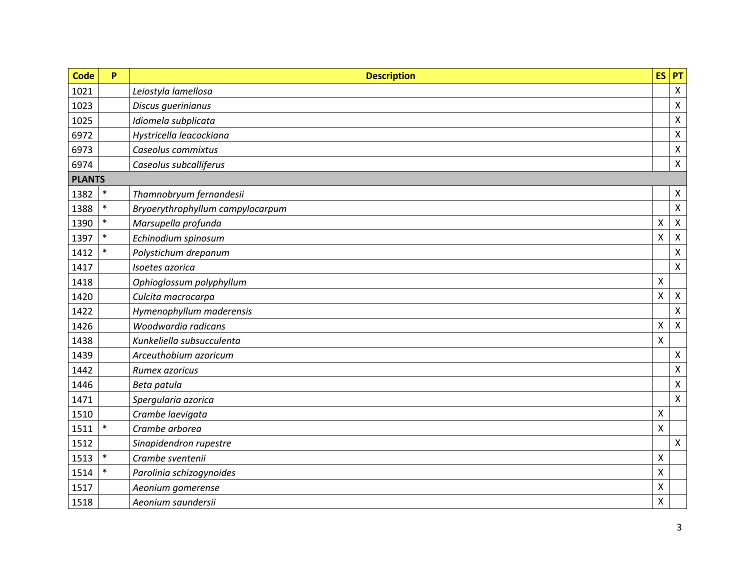| <b>Code</b>   | P      | <b>Description</b>               | <b>ES</b>                 | PT                 |
|---------------|--------|----------------------------------|---------------------------|--------------------|
| 1021          |        | Leiostyla lamellosa              |                           | X                  |
| 1023          |        | Discus guerinianus               |                           | $\pmb{\times}$     |
| 1025          |        | Idiomela subplicata              |                           | $\mathsf X$        |
| 6972          |        | Hystricella leacockiana          |                           | $\pmb{\mathsf{X}}$ |
| 6973          |        | Caseolus commixtus               |                           | $\pmb{\mathsf{X}}$ |
| 6974          |        | Caseolus subcalliferus           |                           | $\pmb{\times}$     |
| <b>PLANTS</b> |        |                                  |                           |                    |
| 1382          | $\ast$ | Thamnobryum fernandesii          |                           | $\pmb{\mathsf{X}}$ |
| 1388          | $\ast$ | Bryoerythrophyllum campylocarpum |                           | $\pmb{\times}$     |
| 1390          | $\ast$ | Marsupella profunda              | $\pmb{\mathsf{X}}$        | X                  |
| 1397          | $\ast$ | Echinodium spinosum              | $\pmb{\mathsf{X}}$        | $\pmb{\times}$     |
| 1412          | $\ast$ | Polystichum drepanum             |                           | $\mathsf{X}$       |
| 1417          |        | Isoetes azorica                  |                           | $\mathsf{X}$       |
| 1418          |        | Ophioglossum polyphyllum         | $\pmb{\times}$            |                    |
| 1420          |        | Culcita macrocarpa               | $\pmb{\mathsf{X}}$        | $\mathsf{X}$       |
| 1422          |        | Hymenophyllum maderensis         |                           | X                  |
| 1426          |        | Woodwardia radicans              | $\pmb{\mathsf{X}}$        | $\mathsf{X}$       |
| 1438          |        | Kunkeliella subsucculenta        | $\boldsymbol{\mathsf{X}}$ |                    |
| 1439          |        | Arceuthobium azoricum            |                           | $\mathsf{X}$       |
| 1442          |        | Rumex azoricus                   |                           | $\pmb{\times}$     |
| 1446          |        | Beta patula                      |                           | $\mathsf{X}$       |
| 1471          |        | Spergularia azorica              |                           | $\pmb{\times}$     |
| 1510          |        | Crambe laevigata                 | $\pmb{\mathsf{X}}$        |                    |
| 1511          | $\ast$ | Crambe arborea                   | $\boldsymbol{\mathsf{X}}$ |                    |
| 1512          |        | Sinapidendron rupestre           |                           | $\mathsf{X}^-$     |
| 1513          | $\ast$ | Crambe sventenii                 | $\mathsf{X}$              |                    |
| 1514          | $\ast$ | Parolinia schizogynoides         | $\boldsymbol{\mathsf{X}}$ |                    |
| 1517          |        | Aeonium gomerense                | $\pmb{\mathsf{X}}$        |                    |
| 1518          |        | Aeonium saundersii               | $\pmb{\mathsf{X}}$        |                    |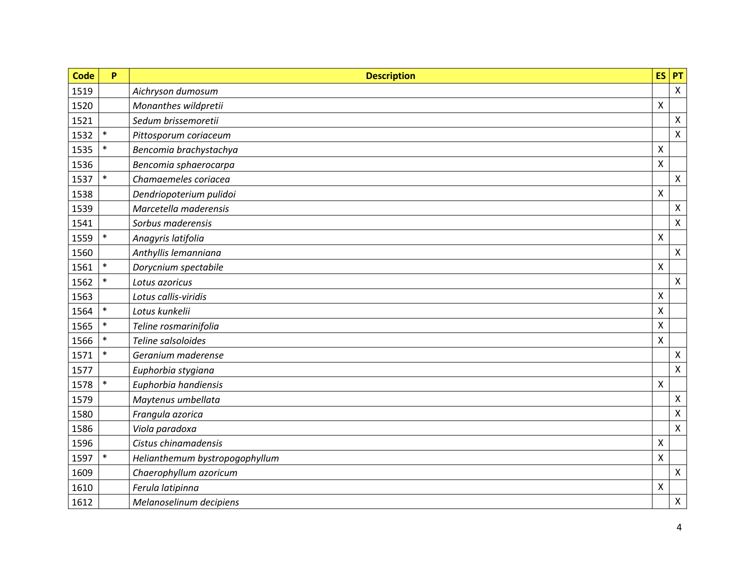| <b>Code</b> | P      | <b>Description</b>             | <b>ES</b>                 | PT             |
|-------------|--------|--------------------------------|---------------------------|----------------|
| 1519        |        | Aichryson dumosum              |                           | $\mathsf{X}$   |
| 1520        |        | Monanthes wildpretii           | $\boldsymbol{\mathsf{X}}$ |                |
| 1521        |        | Sedum brissemoretii            |                           | $\mathsf{X}$   |
| 1532        | $\ast$ | Pittosporum coriaceum          |                           | $\mathsf X$    |
| 1535        | $\ast$ | Bencomia brachystachya         | $\mathsf{X}$              |                |
| 1536        |        | Bencomia sphaerocarpa          | $\pmb{\mathsf{X}}$        |                |
| 1537        | $\ast$ | Chamaemeles coriacea           |                           | $\mathsf{X}$   |
| 1538        |        | Dendriopoterium pulidoi        | $\pmb{\mathsf{X}}$        |                |
| 1539        |        | Marcetella maderensis          |                           | $\mathsf{X}$   |
| 1541        |        | Sorbus maderensis              |                           | $\mathsf{X}$   |
| 1559        | $\ast$ | Anagyris latifolia             | $\boldsymbol{\mathsf{X}}$ |                |
| 1560        |        | Anthyllis lemanniana           |                           | $\mathsf{X}$   |
| 1561        | $\ast$ | Dorycnium spectabile           | $\mathsf{X}$              |                |
| 1562        | $\ast$ | Lotus azoricus                 |                           | $\mathsf{X}$   |
| 1563        |        | Lotus callis-viridis           | $\mathsf{X}$              |                |
| 1564        | $\ast$ | Lotus kunkelii                 | $\pmb{\mathsf{X}}$        |                |
| 1565        | $\ast$ | Teline rosmarinifolia          | $\pmb{\mathsf{X}}$        |                |
| 1566        | $\ast$ | Teline salsoloides             | $\pmb{\mathsf{X}}$        |                |
| 1571        | $\ast$ | Geranium maderense             |                           | $\mathsf{X}$   |
| 1577        |        | Euphorbia stygiana             |                           | $\pmb{\times}$ |
| 1578        | $\ast$ | Euphorbia handiensis           | $\boldsymbol{\mathsf{X}}$ |                |
| 1579        |        | Maytenus umbellata             |                           | $\pmb{\times}$ |
| 1580        |        | Frangula azorica               |                           | $\pmb{\times}$ |
| 1586        |        | Viola paradoxa                 |                           | $\mathsf{X}$   |
| 1596        |        | Cistus chinamadensis           | $\boldsymbol{\mathsf{X}}$ |                |
| 1597        | $\ast$ | Helianthemum bystropogophyllum | $\mathsf{X}$              |                |
| 1609        |        | Chaerophyllum azoricum         |                           | $\mathsf{X}$   |
| 1610        |        | Ferula latipinna               | $\mathsf{X}$              |                |
| 1612        |        | Melanoselinum decipiens        |                           | $\mathsf X$    |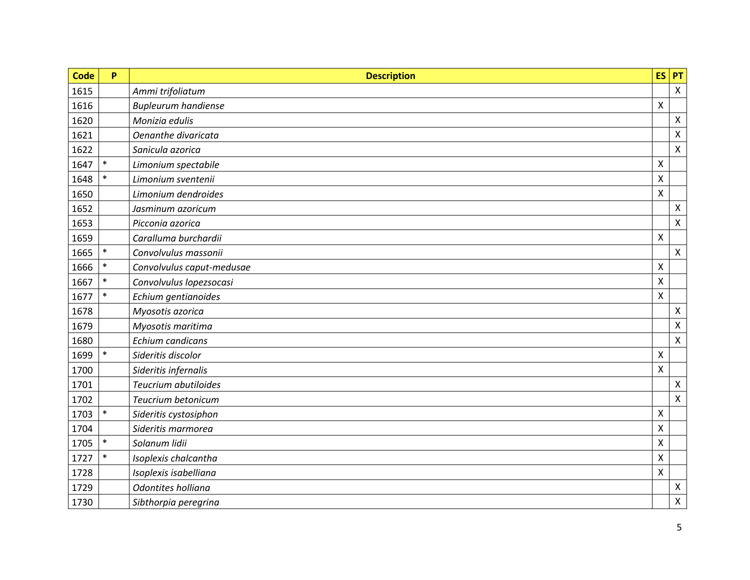| <b>Code</b> | P      | <b>Description</b>         | <b>ES</b>                 | PT                 |
|-------------|--------|----------------------------|---------------------------|--------------------|
| 1615        |        | Ammi trifoliatum           |                           | $\mathsf{X}$       |
| 1616        |        | <b>Bupleurum handiense</b> | $\boldsymbol{\mathsf{X}}$ |                    |
| 1620        |        | Monizia edulis             |                           | $\mathsf{X}$       |
| 1621        |        | Oenanthe divaricata        |                           | $\pmb{\mathsf{X}}$ |
| 1622        |        | Sanicula azorica           |                           | $\pmb{\times}$     |
| 1647        | $\ast$ | Limonium spectabile        | $\pmb{\mathsf{X}}$        |                    |
| 1648        | $\ast$ | Limonium sventenii         | $\pmb{\mathsf{X}}$        |                    |
| 1650        |        | Limonium dendroides        | $\pmb{\mathsf{X}}$        |                    |
| 1652        |        | Jasminum azoricum          |                           | $\mathsf{X}$       |
| 1653        |        | Picconia azorica           |                           | $\mathsf{X}$       |
| 1659        |        | Caralluma burchardii       | $\pmb{\times}$            |                    |
| 1665        | $\ast$ | Convolvulus massonii       |                           | $\mathsf{X}$       |
| 1666        | $\ast$ | Convolvulus caput-medusae  | $\mathsf{X}$              |                    |
| 1667        | $\ast$ | Convolvulus lopezsocasi    | $\pmb{\times}$            |                    |
| 1677        | $\ast$ | Echium gentianoides        | $\mathsf{X}$              |                    |
| 1678        |        | Myosotis azorica           |                           | X                  |
| 1679        |        | Myosotis maritima          |                           | X                  |
| 1680        |        | Echium candicans           |                           | $\pmb{\times}$     |
| 1699        | $\ast$ | Sideritis discolor         | $\pmb{\mathsf{X}}$        |                    |
| 1700        |        | Sideritis infernalis       | $\pmb{\mathsf{X}}$        |                    |
| 1701        |        | Teucrium abutiloides       |                           | $\mathsf{X}$       |
| 1702        |        | Teucrium betonicum         |                           | $\mathsf{X}$       |
| 1703        | $\ast$ | Sideritis cystosiphon      | $\pmb{\mathsf{X}}$        |                    |
| 1704        |        | Sideritis marmorea         | $\mathsf{X}$              |                    |
| 1705        | $\ast$ | Solanum lidii              | $\boldsymbol{\mathsf{X}}$ |                    |
| 1727        | $\ast$ | Isoplexis chalcantha       | $\mathsf{X}$              |                    |
| 1728        |        | Isoplexis isabelliana      | $\pmb{\times}$            |                    |
| 1729        |        | Odontites holliana         |                           | X                  |
| 1730        |        | Sibthorpia peregrina       |                           | $\mathsf X$        |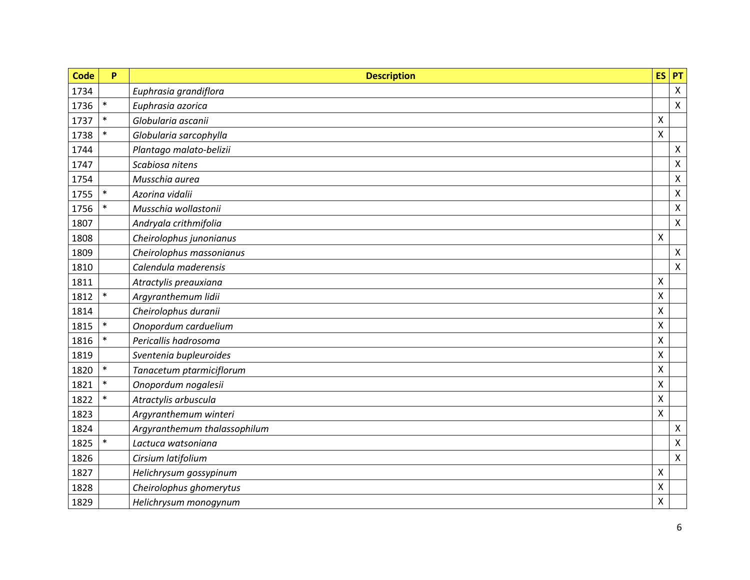| <b>Code</b> | P      | <b>Description</b>           | <b>ES</b>                 | PT           |
|-------------|--------|------------------------------|---------------------------|--------------|
| 1734        |        | Euphrasia grandiflora        |                           | $\mathsf{X}$ |
| 1736        | $\ast$ | Euphrasia azorica            |                           | $\mathsf{X}$ |
| 1737        | $\ast$ | Globularia ascanii           | $\mathsf{X}$              |              |
| 1738        | $\ast$ | Globularia sarcophylla       | $\boldsymbol{\mathsf{X}}$ |              |
| 1744        |        | Plantago malato-belizii      |                           | $\mathsf{X}$ |
| 1747        |        | Scabiosa nitens              |                           | X            |
| 1754        |        | Musschia aurea               |                           | X            |
| 1755        | $\ast$ | Azorina vidalii              |                           | X            |
| 1756        | $\ast$ | Musschia wollastonii         |                           | $\mathsf{X}$ |
| 1807        |        | Andryala crithmifolia        |                           | $\mathsf{X}$ |
| 1808        |        | Cheirolophus junonianus      | $\boldsymbol{\mathsf{X}}$ |              |
| 1809        |        | Cheirolophus massonianus     |                           | $\mathsf{X}$ |
| 1810        |        | Calendula maderensis         |                           | $\mathsf{X}$ |
| 1811        |        | Atractylis preauxiana        | $\boldsymbol{\mathsf{X}}$ |              |
| 1812        | $\ast$ | Argyranthemum lidii          | $\boldsymbol{\mathsf{X}}$ |              |
| 1814        |        | Cheirolophus duranii         | $\boldsymbol{\mathsf{X}}$ |              |
| 1815        | $\ast$ | Onopordum carduelium         | $\boldsymbol{\mathsf{X}}$ |              |
| 1816        | $\ast$ | Pericallis hadrosoma         | $\boldsymbol{\mathsf{X}}$ |              |
| 1819        |        | Sventenia bupleuroides       | $\boldsymbol{\mathsf{X}}$ |              |
| 1820        | $\ast$ | Tanacetum ptarmiciflorum     | $\pmb{\times}$            |              |
| 1821        | $\ast$ | Onopordum nogalesii          | $\boldsymbol{\mathsf{X}}$ |              |
| 1822        | $\ast$ | Atractylis arbuscula         | $\pmb{\times}$            |              |
| 1823        |        | Argyranthemum winteri        | $\boldsymbol{\mathsf{X}}$ |              |
| 1824        |        | Argyranthemum thalassophilum |                           | X            |
| 1825        | $\ast$ | Lactuca watsoniana           |                           | X            |
| 1826        |        | Cirsium latifolium           |                           | $\mathsf{X}$ |
| 1827        |        | Helichrysum gossypinum       | $\boldsymbol{\mathsf{X}}$ |              |
| 1828        |        | Cheirolophus ghomerytus      | $\boldsymbol{\mathsf{X}}$ |              |
| 1829        |        | Helichrysum monogynum        | $\pmb{\times}$            |              |